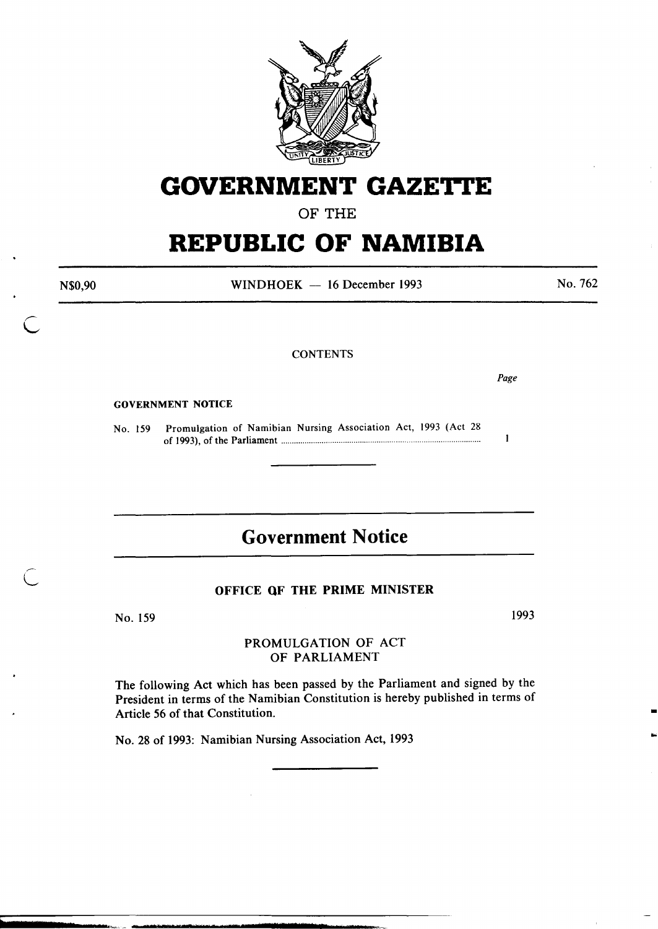

## **GOVERNMENT GAZETTE**

OF THE

# **REPUBLIC OF NAMIBIA**

N\$0,90

WINDHOEK - 16 December 1993

No. 762

#### **CONTENTS**

*Page* 

 $\mathbf{1}$ 

GOVERNMENT NOTICE

No. 159 Promulgation of Namibian Nursing Association Act, 1993 (Act 28 of 1993), of the Parliament ............................................................................................. .

## **Government Notice**

#### OFFICE OF THE PRIME MINISTER

No. 159

1993

•

...

#### PROMULGATION OF ACT OF PARLIAMENT

The following Act which has been passed by the Parliament and signed by the President in terms of the Namibian Constitution is hereby published in terms of Article 56 of that Constitution.

No. 28 of 1993: Namibian Nursing Association Act, 1993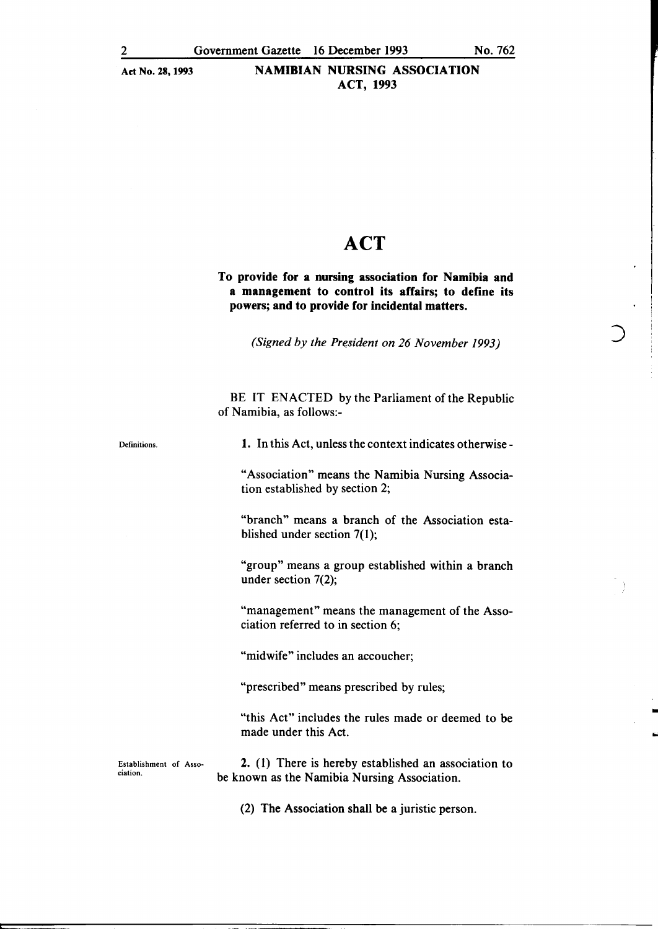## Act No. 28, 1993 NAMIBIAN NURSING ASSOCIATION ACT, 1993

## ACT

#### To provide for a nursing association for Namibia and a management to control its affairs; to define its powers; and to provide for incidental matters.

*(Signed by the President on 26 November 1993)* 

BE IT ENACTED by the Parliament of the Republic of Namibia, as follows:-

Definitions.

1. In this Act, unless the context indicates otherwise -

"Association" means the Namibia Nursing Association established by section 2;

"branch" means a branch of the Association established under section 7(1);

"group" means a group established within a branch under section 7(2);

"management" means the management of the Association referred to in section 6;

"midwife" includes an accoucher;

"prescribed" means prescribed by rules;

"this Act" includes the rules made or deemed to be made under this Act.

•

Establishment of Association.

2. (1) There is hereby established an association to be known as the Namibia Nursing Association.

(2) The Association shall be a juristic person.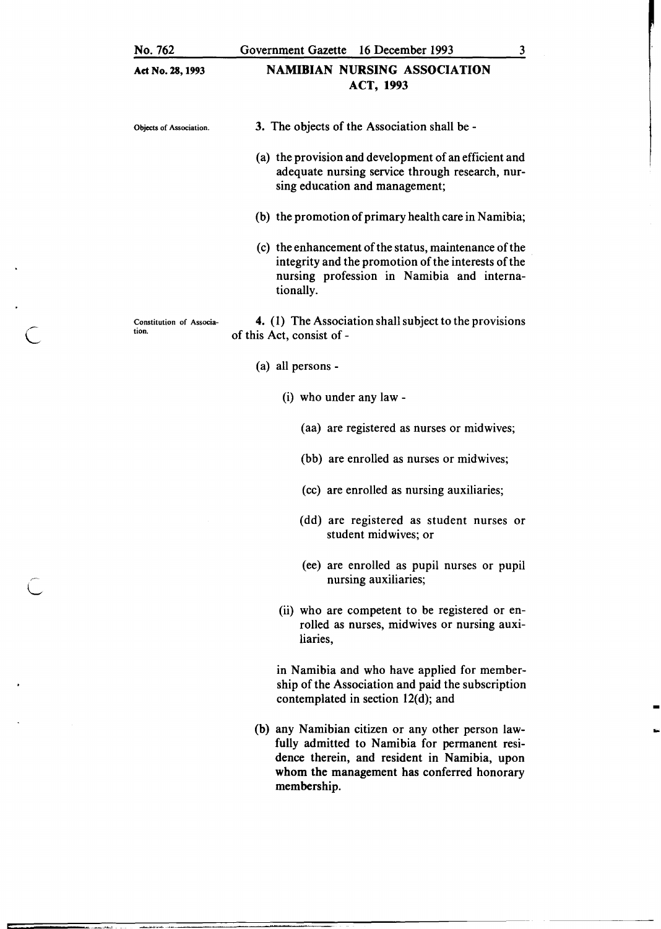| No. 762                           | 16 December 1993<br>Government Gazette<br>3                                                                                                                                                                     |
|-----------------------------------|-----------------------------------------------------------------------------------------------------------------------------------------------------------------------------------------------------------------|
| Act No. 28, 1993                  | <b>NAMIBIAN NURSING ASSOCIATION</b><br>ACT, 1993                                                                                                                                                                |
| Objects of Association.           | 3. The objects of the Association shall be -                                                                                                                                                                    |
|                                   | (a) the provision and development of an efficient and<br>adequate nursing service through research, nur-<br>sing education and management;                                                                      |
|                                   | (b) the promotion of primary health care in Namibia;                                                                                                                                                            |
|                                   | (c) the enhancement of the status, maintenance of the<br>integrity and the promotion of the interests of the<br>nursing profession in Namibia and interna-<br>tionally.                                         |
| Constitution of Associa-<br>tion. | 4. (1) The Association shall subject to the provisions<br>of this Act, consist of -                                                                                                                             |
|                                   | (a) all persons -                                                                                                                                                                                               |
|                                   | (i) who under any law -                                                                                                                                                                                         |
|                                   | (aa) are registered as nurses or midwives;                                                                                                                                                                      |
|                                   | (bb) are enrolled as nurses or midwives;                                                                                                                                                                        |
|                                   | (cc) are enrolled as nursing auxiliaries;                                                                                                                                                                       |
|                                   | (dd) are registered as student nurses or<br>student midwives; or                                                                                                                                                |
|                                   | (ee) are enrolled as pupil nurses or pupil<br>nursing auxiliaries;                                                                                                                                              |
|                                   | (ii) who are competent to be registered or en-<br>rolled as nurses, midwives or nursing auxi-<br>liaries,                                                                                                       |
|                                   | in Namibia and who have applied for member-<br>ship of the Association and paid the subscription<br>contemplated in section $12(d)$ ; and                                                                       |
|                                   | (b) any Namibian citizen or any other person law-<br>fully admitted to Namibia for permanent resi-<br>dence therein, and resident in Namibia, upon<br>whom the management has conferred honorary<br>membership. |

-

c

 $\subset$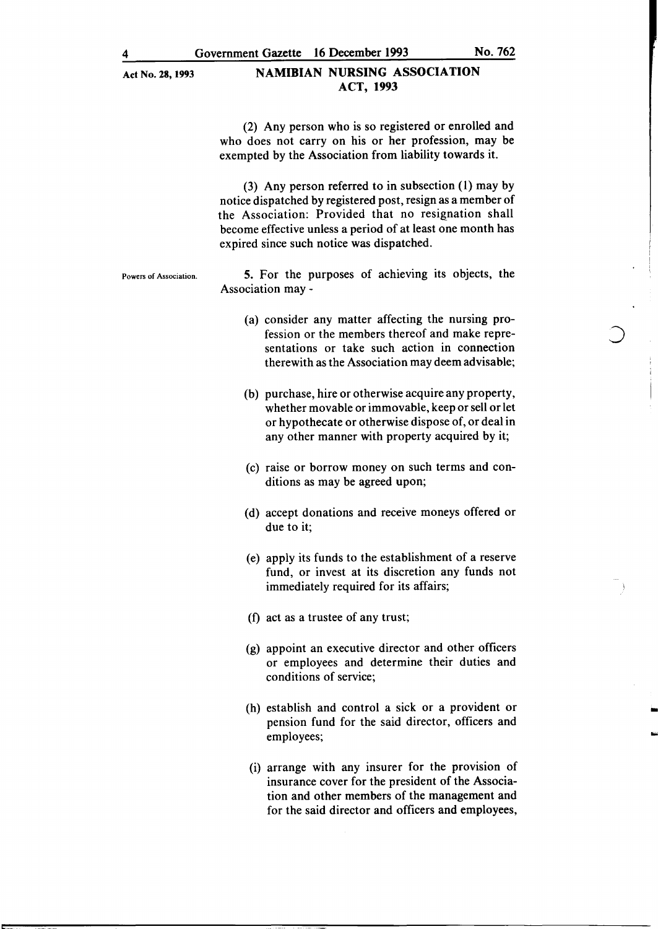#### Act No. 28, 1993 NAMIBIAN NURSING ASSOCIATION ACT, 1993

(2) Any person who is so registered or enrolled and who does not carry on his or her profession, may be exempted by the Association from liability towards it.

(3) Any person referred to in subsection (1) may by notice dispatched by registered post, resign as a member of the Association: Provided that no resignation shall become effective unless a period of at least one month has expired since such notice was dispatched.

Powers of Association. 5. For the purposes of achieving its objects, the Association may -

- (a) consider any matter affecting the nursing profession or the members thereof and make representations or take such action in connection therewith as the Association may deem advisable;
- (b) purchase, hire or otherwise acquire any property, whether movable or immovable, keep or sell or let or hypothecate or otherwise dispose of, or deal in any other manner with property acquired by it;
- (c) raise or borrow money on such terms and conditions as may be agreed upon;
- (d) accept donations and receive moneys offered or due to it;
- (e) apply its funds to the establishment of a reserve fund, or invest at its discretion any funds not immediately required for its affairs;
- (f) act as a trustee of any trust;
- (g) appoint an executive director and other officers or employees and determine their duties and conditions of service;
- (h) establish and control a sick or a provident or pension fund for the said director, officers and employees;

-

(i) arrange with any insurer for the provision of insurance cover for the president of the Association and other members of the management and for the said director and officers and employees,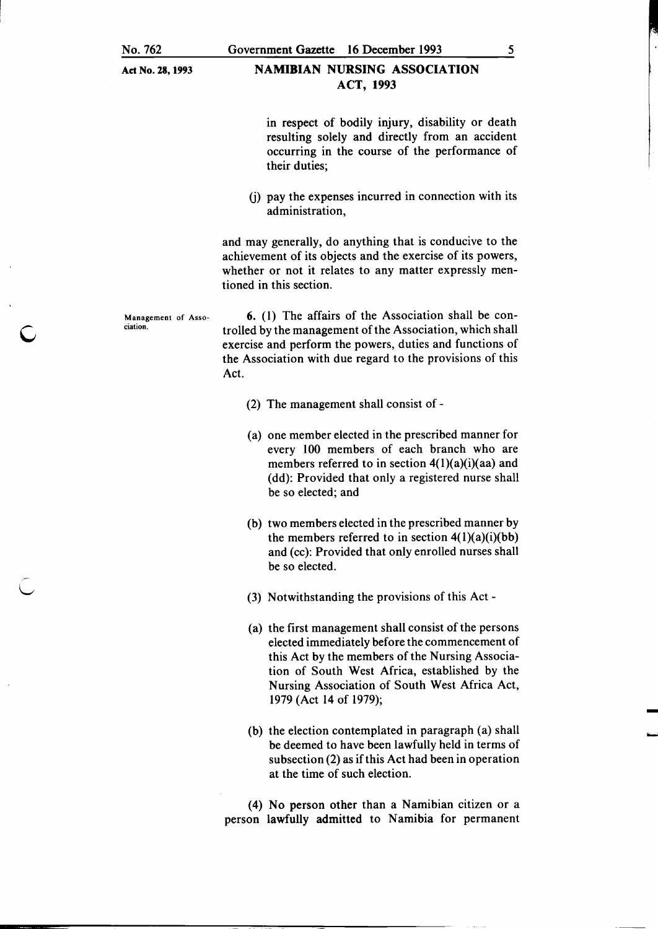c

#### Government Gazette 16 December 1993

## NAMIBIAN NURSING ASSOCIATION ACT, 1993

in respect of bodily injury, disability or death resulting solely and directly from an accident occurring in the course of the performance of their duties;

(j) pay the expenses incurred in connection with its administration,

and may generally, do anything that is conducive to the achievement of its objects and the exercise of its powers, whether or not it relates to any matter expressly mentioned in this section.

Management of Association. 6. ( 1) The affairs of the Association shall be controlled by the management of the Association, which shall exercise and perform the powers, duties and functions of the Association with due regard to the provisions of this Act.

- (2) The management shall consist of -
- (a) one member elected in the prescribed manner for every 100 members of each branch who are members referred to in section  $4(1)(a)(i)(aa)$  and (dd): Provided that only a registered nurse shall be so elected; and
- (b) two members elected in the prescribed manner by the members referred to in section  $4(1)(a)(i)(bb)$ and (cc): Provided that only enrolled nurses shall be so elected.
- (3) Notwithstanding the provisions of this Act-
- (a) the first management shall consist of the persons elected immediately before the commencement of this Act by the members of the Nursing Association of South West Africa, established by the Nursing Association of South West Africa Act, 1979 (Act 14 of 1979);
- (b) the election contemplated in paragraph (a) shall be deemed to have been lawfully held in terms of subsection (2) as if this Act had been in operation at the time of such election.

(4) No person other than a Namibian citizen or a person lawfully admitted to Namibia for permanent

5

-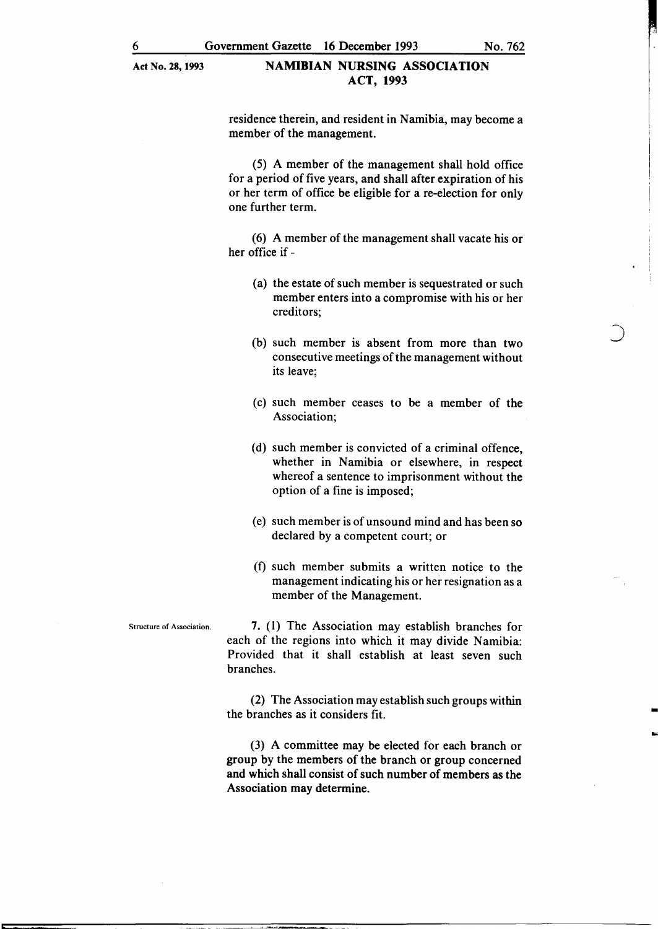#### Act No. 28,1993 NAMIBIAN NURSING ASSOCIATION ACT, 1993

residence therein, and resident in Namibia, may become a member of the management.

(5) A member of the management shall hold office for a period of five years, and shall after expiration of his or her term of office be eligible for a re-election for only one further term.

(6) A member of the management shall vacate his or her office if -

- (a) the estate of such member is sequestrated or such member enters into a compromise with his or her creditors;
- (b) such member 1s absent from more than two consecutive meetings of the management without its leave;
- (c) such member ceases to be a member of the Association;
- (d) such member is convicted of a criminal offence, whether in Namibia or elsewhere, in respect whereof a sentence to imprisonment without the option of a fine is imposed;
- (e) such member is of unsound mind and has been so declared by a competent court; or
- (f) such member submits a written notice to the management indicating his or her resignation as a member of the Management.

Structure of Association.  $\overline{7}$ . (1) The Association may establish branches for each of the regions into which it may divide Namibia: Provided that it shall establish at least seven such branches.

> (2) The Association may establish such groups within the branches as it considers fit.

-

(3) A committee may be elected for each branch or group by the members of the branch or group concerned and which shall consist of such number of members as the Association may determine.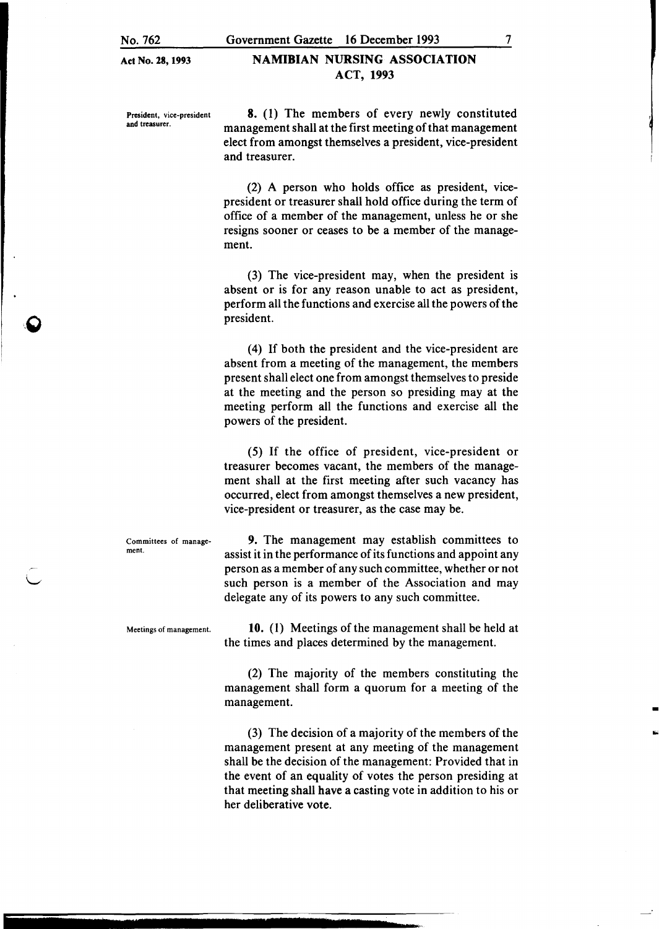Act No. 28, 1993

#### NAMIBIAN NURSING ASSOCIATION ACT, 1993

President, vice-president and treasurer.

8. (1) The members of every newly constituted management shall at the first meeting of that management elect from amongst themselves a president, vice-president and treasurer.

(2) A person who holds office as president, vicepresident or treasurer shall hold office during the term of office of a member of the management, unless he or she resigns sooner or ceases to be a member of the management.

(3) The vice-president may, when the president is absent or is for any reason unable to act as president, perform all the functions and exercise all the powers of the president.

(4) If both the president and the vice-president are absent from a meeting of the management, the members present shall elect one from amongst themselves to preside at the meeting and the person so presiding may at the meeting perform all the functions and exercise all the powers of the president.

(5) If the office of president, vice-president or treasurer becomes vacant, the members of the management shall at the first meeting after such vacancy has occurred, elect from amongst themselves a new president, vice-president or treasurer, as the case may be.

Committees of management.

9. The management may establish committees to assist it in the performance of its functions and appoint any person as a member of any such committee, whether or not such person is a member of the Association and may delegate any of its powers to any such committee.

Meetings of management. **10.** (1) Meetings of the management shall be held at the times and places determined by the management.

> (2) The majority of the members constituting the management shall form a quorum for a meeting of the management.

> (3) The decision of a majority of the members of the management present at any meeting of the management shall be the decision of the management: Provided that in the event of an equality of votes the person presiding at that meeting shall have a casting vote in addition to his or her deliberative vote.

7

-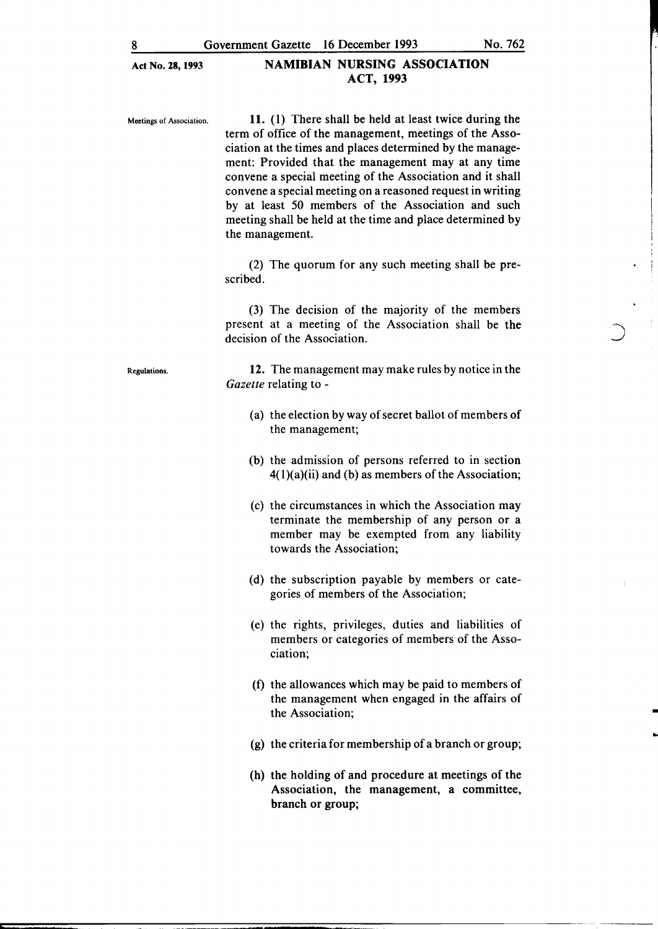### Act No. 28,1993 NAMIBIAN NURSING ASSOCIATION ACT, 1993

Meetings of Association. 11. (1) There shall be held at least twice during the term of office of the management, meetings of the Association at the times and places determined by the management: Provided that the management may at any time convene a special meeting of the Association and it shall convene a special meeting on a reasoned request in writing by at least 50 members of the Association and such meeting shall be held at the time and place determined by the management.

> (2) The quorum for any such meeting shall be prescribed.

(3) The decision of the majority of the members present at a meeting of the Association shall be the decision of the Association.

Regulations.

12. The management may make rules by notice in the *Gazette* relating to -

- (a) the election by way of secret ballot of members of the management;
- (b) the admission of persons referred to in section  $4(1)(a)(ii)$  and (b) as members of the Association;
- (c) the circumstances in which the Association may terminate the membership of any person or a member may be exempted from any liability towards the Association;
- (d) the subscription payable by members or categories of members of the Association;
- (e) the rights, privileges, duties and liabilities of members or categories of members of the Association;
- (f) the allowances which may be paid to members of the management when engaged in the affairs of the Association;

•

- (g) the criteria for membership of a branch or group;
- (h) the holding of and procedure at meetings of the Association, the management, a committee, branch or group;